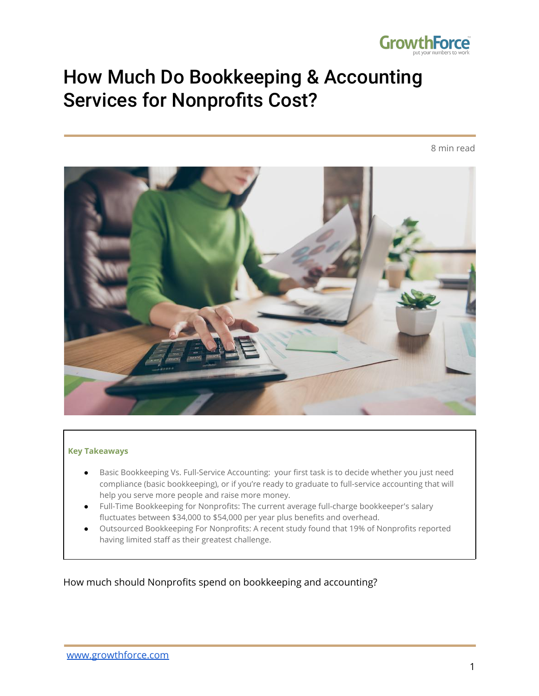

## How Much Do Bookkeeping & Accounting Services for Nonprofits Cost?

8 min read



#### **Key Takeaways**

- Basic Bookkeeping Vs. Full-Service Accounting: your first task is to decide whether you just need compliance (basic bookkeeping), or if you're ready to graduate to full-service accounting that will help you serve more people and raise more money.
- Full-Time Bookkeeping for Nonprofits: The current average full-charge bookkeeper's salary fluctuates between \$34,000 to \$54,000 per year plus benefits and overhead.
- Outsourced Bookkeeping For Nonprofits: A recent study found that 19% of Nonprofits reported having limited staff as their greatest challenge.

How much should Nonprofits spend on bookkeeping and accounting?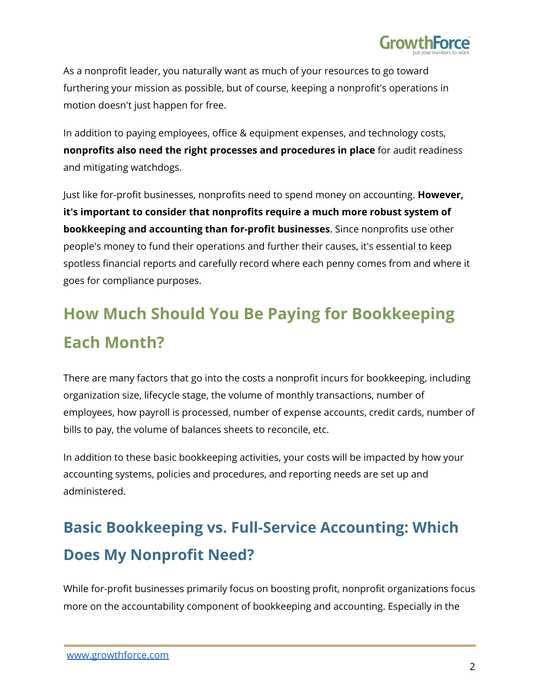

As a nonprofit leader, you naturally want as much of your resources to go toward furthering your mission as possible, but of course, keeping a nonprofit's operations in motion doesn't just happen for free.

In addition to paying employees, office & equipment expenses, and technology costs, **nonprofits also need the right processes and procedures in place** for audit readiness and mitigating watchdogs.

Just like for-profit businesses, nonprofits need to spend money on accounting. **However, it's important to consider that nonprofits require a much more robust system of bookkeeping and accounting than for-profit businesses**. Since nonprofits use other people's money to fund their operations and further their causes, it's essential to keep spotless financial reports and carefully record where each penny comes from and where it goes for compliance purposes.

## **How Much Should You Be Paying for Bookkeeping Each Month?**

There are many factors that go into the costs a nonprofit incurs for bookkeeping, including organization size, lifecycle stage, the volume of monthly transactions, number of employees, how payroll is processed, number of expense accounts, credit cards, number of bills to pay, the volume of balances sheets to reconcile, etc.

In addition to these basic bookkeeping activities, your costs will be impacted by how your accounting systems, policies and procedures, and reporting needs are set up and administered.

## **Basic Bookkeeping vs. Full-Service Accounting: Which Does My Nonprofit Need?**

While for-profit businesses primarily focus on boosting profit, nonprofit organizations focus more on the accountability component of bookkeeping and accounting. Especially in the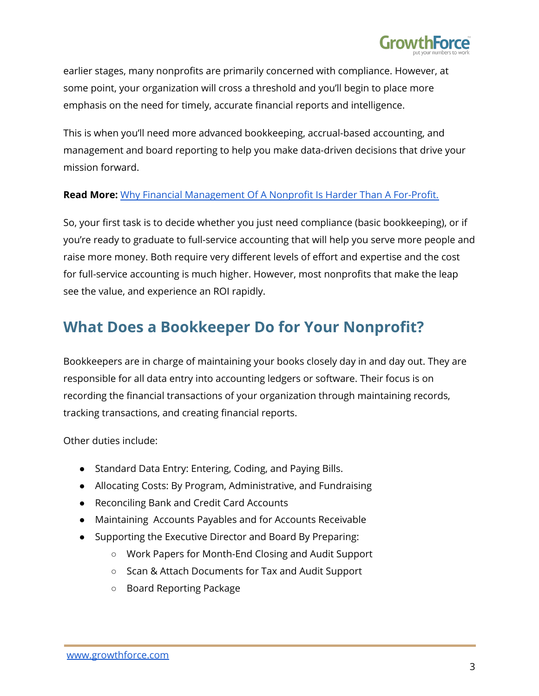

earlier stages, many nonprofits are primarily concerned with compliance. However, at some point, your organization will cross a threshold and you'll begin to place more emphasis on the need for timely, accurate financial reports and intelligence.

This is when you'll need more advanced bookkeeping, accrual-based accounting, and management and board reporting to help you make data-driven decisions that drive your mission forward.

#### **Read More:** Why Financial [Management](https://www.growthforce.com/blog/why-financial-management-of-a-nonprofit-is-harder-than-running-a-for-profit) Of A Nonprofit Is Harder Than A For-Profit.

So, your first task is to decide whether you just need compliance (basic bookkeeping), or if you're ready to graduate to full-service accounting that will help you serve more people and raise more money. Both require very different levels of effort and expertise and the cost for full-service accounting is much higher. However, most nonprofits that make the leap see the value, and experience an ROI rapidly.

#### **What Does a Bookkeeper Do for Your Nonprofit?**

Bookkeepers are in charge of maintaining your books closely day in and day out. They are responsible for all data entry into accounting ledgers or software. Their focus is on recording the financial transactions of your organization through maintaining records, tracking transactions, and creating financial reports.

Other duties include:

- Standard Data Entry: Entering, Coding, and Paying Bills.
- Allocating Costs: By Program, Administrative, and Fundraising
- Reconciling Bank and Credit Card Accounts
- Maintaining Accounts Payables and for Accounts Receivable
- Supporting the Executive Director and Board By Preparing:
	- Work Papers for Month-End Closing and Audit Support
	- Scan & Attach Documents for Tax and Audit Support
	- Board Reporting Package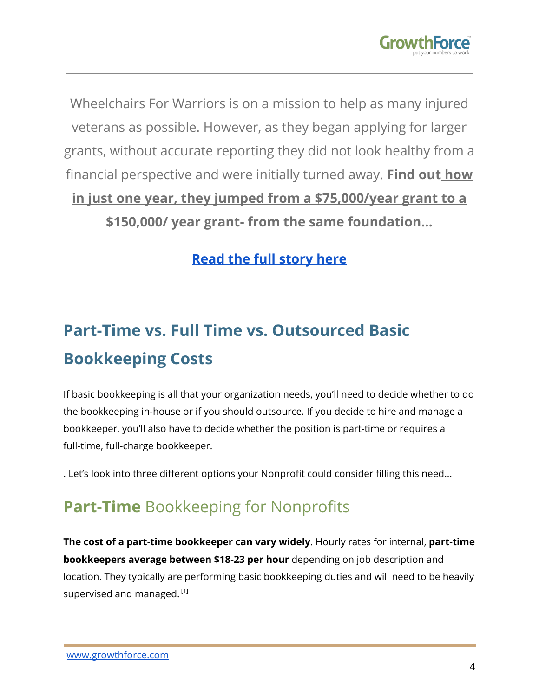

Wheelchairs For Warriors is on a mission to help as many injured veterans as possible. However, as they began applying for larger grants, without accurate reporting they did not look healthy from a financial perspective and were initially turned away. **Find out [how](https://www.growthforce.com/client-testimonial-wheelchairs-for-warriors)**

## **[in just one year, they jumped from a \\$75,000/year](https://www.growthforce.com/client-testimonial-wheelchairs-for-warriors) grant to a**

**[\\$150,000/ year grant- from the same foundation...](https://www.growthforce.com/client-testimonial-wheelchairs-for-warriors)**

#### **[Read the full story here](https://www.growthforce.com/client-testimonial-wheelchairs-for-warriors)**

## **Part-Time vs. Full Time vs. Outsourced Basic Bookkeeping Costs**

If basic bookkeeping is all that your organization needs, you'll need to decide whether to do the bookkeeping in-house or if you should outsource. If you decide to hire and manage a bookkeeper, you'll also have to decide whether the position is part-time or requires a full-time, full-charge bookkeeper.

. Let's look into three different options your Nonprofit could consider filling this need...

## **Part-Time** Bookkeeping for Nonprofits

**The cost of a part-time bookkeeper can vary widely**. Hourly rates for internal, **part-time bookkeepers average between \$18-23 per hour** depending on job description and location. They typically are performing basic bookkeeping duties and will need to be heavily supervised and managed.  $^{\text{\tiny{\textsf{[1]}}}}$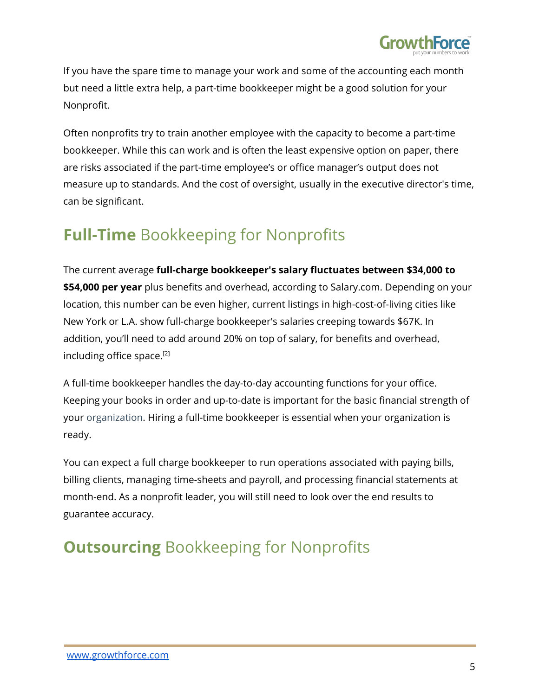

If you have the spare time to manage your work and some of the accounting each month but need a little extra help, a part-time bookkeeper might be a good solution for your Nonprofit.

Often nonprofits try to train another employee with the capacity to become a part-time bookkeeper. While this can work and is often the least expensive option on paper, there are risks associated if the part-time employee's or office manager's output does not measure up to standards. And the cost of oversight, usually in the executive director's time, can be significant.

### **Full-Time** Bookkeeping for Nonprofits

The current average **full-charge bookkeeper's salary fluctuates between \$34,000 to \$54,000 per year** plus benefits and overhead, according to Salary.com. Depending on your location, this number can be even higher, current listings in high-cost-of-living cities like New York or L.A. show full-charge bookkeeper's salaries creeping towards \$67K. In addition, you'll need to add around 20% on top of salary, for benefits and overhead, including office space. [2]

A full-time bookkeeper handles the day-to-day accounting functions for your office. Keeping your books in order and up-to-date is important for the basic financial strength of your organization. Hiring a full-time bookkeeper is essential when your organization is ready.

You can expect a full charge bookkeeper to run operations associated with paying bills, billing clients, managing time-sheets and payroll, and processing financial statements at month-end. As a nonprofit leader, you will still need to look over the end results to guarantee accuracy.

### **Outsourcing** Bookkeeping for Nonprofits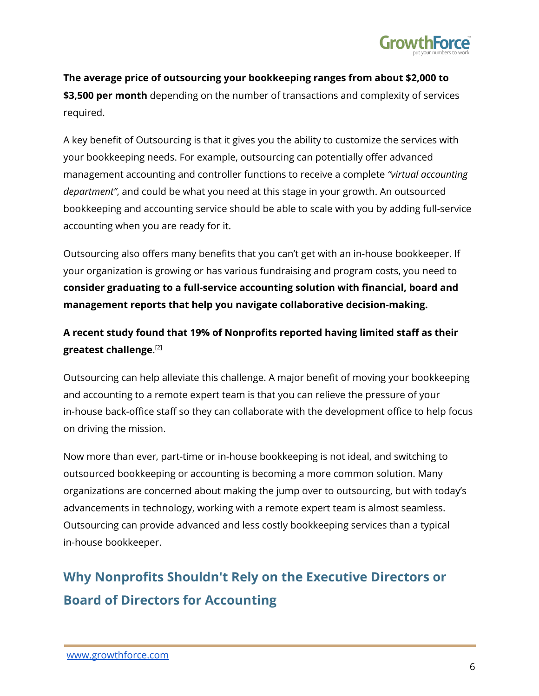

**The average price of outsourcing your bookkeeping ranges from about \$2,000 to \$3,500 per month** depending on the number of transactions and complexity of services required.

A key benefit of Outsourcing is that it gives you the ability to customize the services with your bookkeeping needs. For example, outsourcing can potentially offer advanced management accounting and controller functions to receive a complete *"virtual accounting department"*, and could be what you need at this stage in your growth. An outsourced bookkeeping and accounting service should be able to scale with you by adding full-service accounting when you are ready for it.

Outsourcing also offers many benefits that you can't get with an in-house bookkeeper. If your organization is growing or has various fundraising and program costs, you need to **consider graduating to a full-service accounting solution with financial, board and management reports that help you navigate collaborative decision-making.**

**A recent study found that 19% of Nonprofits reported having limited staff as their greatest challenge**. [2]

Outsourcing can help alleviate this challenge. A major benefit of moving your bookkeeping and accounting to a remote expert team is that you can relieve the pressure of your in-house back-office staff so they can collaborate with the development office to help focus on driving the mission.

Now more than ever, part-time or in-house bookkeeping is not ideal, and switching to outsourced bookkeeping or accounting is becoming a more common solution. Many organizations are concerned about making the jump over to outsourcing, but with today's advancements in technology, working with a remote expert team is almost seamless. Outsourcing can provide advanced and less costly bookkeeping services than a typical in-house bookkeeper.

### **Why Nonprofits Shouldn't Rely on the Executive Directors or Board of Directors for Accounting**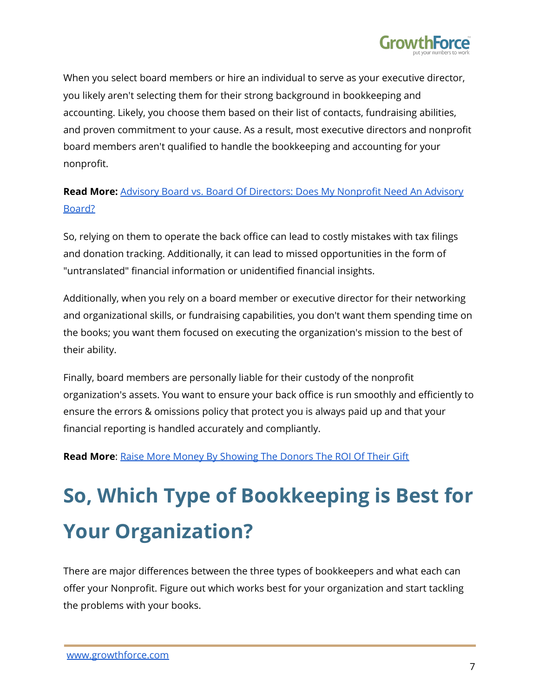

When you select board members or hire an individual to serve as your executive director, you likely aren't selecting them for their strong background in bookkeeping and accounting. Likely, you choose them based on their list of contacts, fundraising abilities, and proven commitment to your cause. As a result, most executive directors and nonprofit board members aren't qualified to handle the bookkeeping and accounting for your nonprofit.

#### **Read More:** Advisory Board vs. Board Of Directors: Does My [Nonprofit](https://www.growthforce.com/blog/advisory-board-vs.-board-of-directors-does-my-nonprofit-need-an-advisory-board) Need An Advisory [Board?](https://www.growthforce.com/blog/advisory-board-vs.-board-of-directors-does-my-nonprofit-need-an-advisory-board)

So, relying on them to operate the back office can lead to costly mistakes with tax filings and donation tracking. Additionally, it can lead to missed opportunities in the form of "untranslated" financial information or unidentified financial insights.

Additionally, when you rely on a board member or executive director for their networking and organizational skills, or fundraising capabilities, you don't want them spending time on the books; you want them focused on executing the organization's mission to the best of their ability.

Finally, board members are personally liable for their custody of the nonprofit organization's assets. You want to ensure your back office is run smoothly and efficiently to ensure the errors & omissions policy that protect you is always paid up and that your financial reporting is handled accurately and compliantly.

**Read More**: Raise More Money By [Showing](https://www.growthforce.com/blog/raise-more-money-by-showing-donors-the-roi-of-their-gift) The Donors The ROI Of Their Gift

# **So, Which Type of Bookkeeping is Best for Your Organization?**

There are major differences between the three types of bookkeepers and what each can offer your Nonprofit. Figure out which works best for your organization and start tackling the problems with your books.